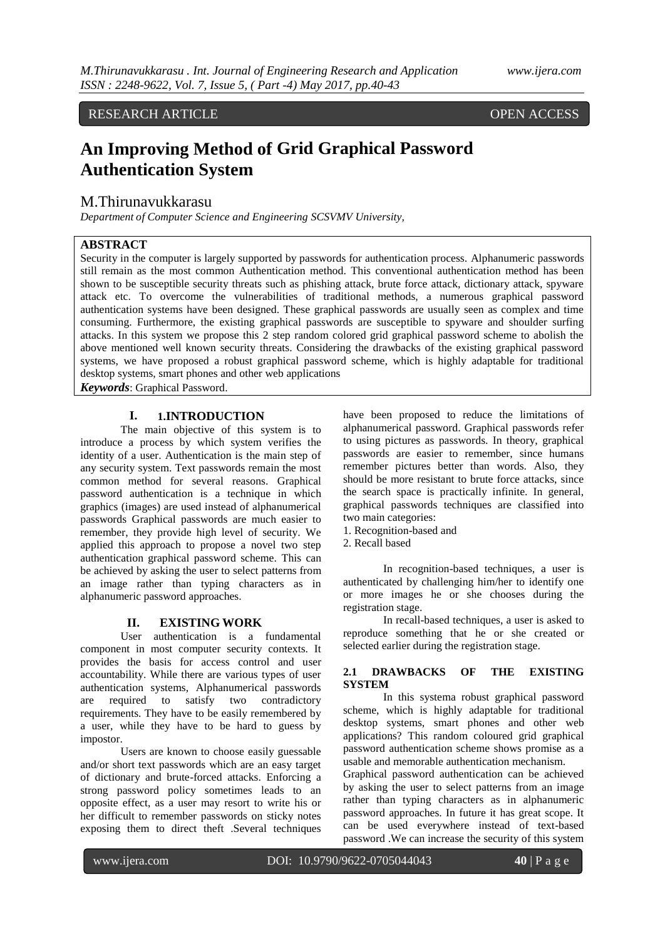# RESEARCH ARTICLE OPEN ACCESS

# **An Improving Method of Grid Graphical Password Authentication System**

# M.Thirunavukkarasu

*Department of Computer Science and Engineering SCSVMV University,* 

## **ABSTRACT**

Security in the computer is largely supported by passwords for authentication process. Alphanumeric passwords still remain as the most common Authentication method. This conventional authentication method has been shown to be susceptible security threats such as phishing attack, brute force attack, dictionary attack, spyware attack etc. To overcome the vulnerabilities of traditional methods, a numerous graphical password authentication systems have been designed. These graphical passwords are usually seen as complex and time consuming. Furthermore, the existing graphical passwords are susceptible to spyware and shoulder surfing attacks. In this system we propose this 2 step random colored grid graphical password scheme to abolish the above mentioned well known security threats. Considering the drawbacks of the existing graphical password systems, we have proposed a robust graphical password scheme, which is highly adaptable for traditional desktop systems, smart phones and other web applications

*Keywords*: Graphical Password.

#### **I. 1.INTRODUCTION**

The main objective of this system is to introduce a process by which system verifies the identity of a user. Authentication is the main step of any security system. Text passwords remain the most common method for several reasons. Graphical password authentication is a technique in which graphics (images) are used instead of alphanumerical passwords Graphical passwords are much easier to remember, they provide high level of security. We applied this approach to propose a novel two step authentication graphical password scheme. This can be achieved by asking the user to select patterns from an image rather than typing characters as in alphanumeric password approaches.

#### **II. EXISTING WORK**

User authentication is a fundamental component in most computer security contexts. It provides the basis for access control and user accountability. While there are various types of user authentication systems, Alphanumerical passwords are required to satisfy two contradictory requirements. They have to be easily remembered by a user, while they have to be hard to guess by impostor.

Users are known to choose easily guessable and/or short text passwords which are an easy target of dictionary and brute-forced attacks. Enforcing a strong password policy sometimes leads to an opposite effect, as a user may resort to write his or her difficult to remember passwords on sticky notes exposing them to direct theft .Several techniques

have been proposed to reduce the limitations of alphanumerical password. Graphical passwords refer to using pictures as passwords. In theory, graphical passwords are easier to remember, since humans remember pictures better than words. Also, they should be more resistant to brute force attacks, since the search space is practically infinite. In general, graphical passwords techniques are classified into two main categories:

- 1. Recognition-based and
- 2. Recall based

In recognition-based techniques, a user is authenticated by challenging him/her to identify one or more images he or she chooses during the registration stage.

In recall-based techniques, a user is asked to reproduce something that he or she created or selected earlier during the registration stage.

#### **2.1 DRAWBACKS OF THE EXISTING SYSTEM**

In this systema robust graphical password scheme, which is highly adaptable for traditional desktop systems, smart phones and other web applications? This random coloured grid graphical password authentication scheme shows promise as a usable and memorable authentication mechanism.

Graphical password authentication can be achieved by asking the user to select patterns from an image rather than typing characters as in alphanumeric password approaches. In future it has great scope. It can be used everywhere instead of text-based password .We can increase the security of this system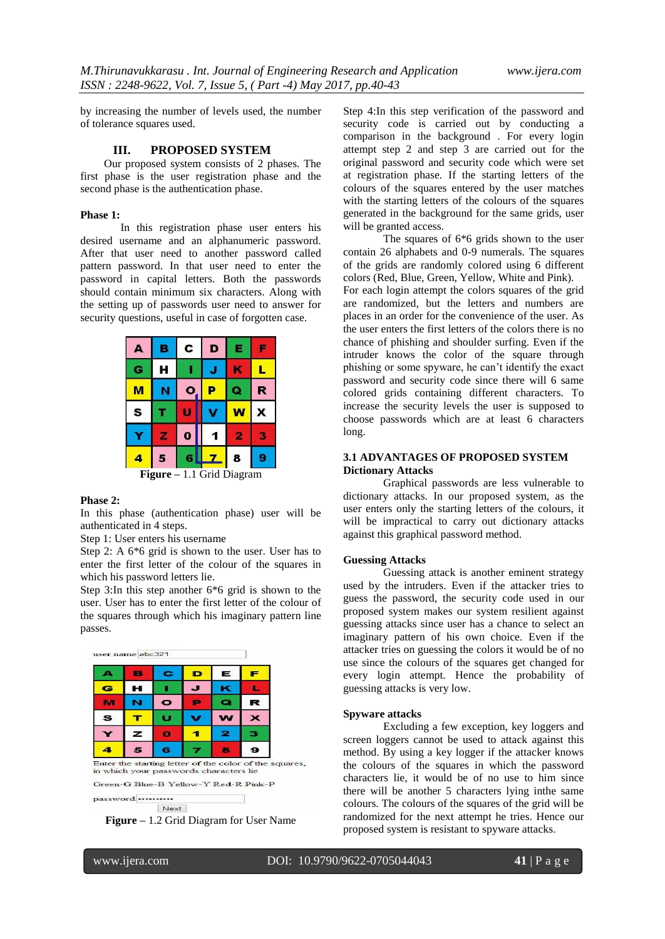by increasing the number of levels used, the number of tolerance squares used.

#### **III. PROPOSED SYSTEM**

Our proposed system consists of 2 phases. The first phase is the user registration phase and the second phase is the authentication phase.

#### **Phase 1:**

In this registration phase user enters his desired username and an alphanumeric password. After that user need to another password called pattern password. In that user need to enter the password in capital letters. Both the passwords should contain minimum six characters. Along with the setting up of passwords user need to answer for security questions, useful in case of forgotten case.



#### **Phase 2:**

In this phase (authentication phase) user will be authenticated in 4 steps.

Step 1: User enters his username

Step 2: A 6\*6 grid is shown to the user. User has to enter the first letter of the colour of the squares in which his password letters lie.

Step 3:In this step another 6\*6 grid is shown to the user. User has to enter the first letter of the colour of the squares through which his imaginary pattern line passes.



in which your passwords characters lie

Green-G Blue-B Yellow-Y Red-R Pink-P

password .......... Next

**Figure –** 1.2 Grid Diagram for User Name

Step 4:In this step verification of the password and security code is carried out by conducting a comparison in the background . For every login attempt step 2 and step 3 are carried out for the original password and security code which were set at registration phase. If the starting letters of the colours of the squares entered by the user matches with the starting letters of the colours of the squares generated in the background for the same grids, user will be granted access.

The squares of 6\*6 grids shown to the user contain 26 alphabets and 0-9 numerals. The squares of the grids are randomly colored using 6 different colors (Red, Blue, Green, Yellow, White and Pink). For each login attempt the colors squares of the grid are randomized, but the letters and numbers are places in an order for the convenience of the user. As the user enters the first letters of the colors there is no chance of phishing and shoulder surfing. Even if the intruder knows the color of the square through phishing or some spyware, he can't identify the exact password and security code since there will 6 same colored grids containing different characters. To increase the security levels the user is supposed to choose passwords which are at least 6 characters long.

#### **3.1 ADVANTAGES OF PROPOSED SYSTEM Dictionary Attacks**

Graphical passwords are less vulnerable to dictionary attacks. In our proposed system, as the user enters only the starting letters of the colours, it will be impractical to carry out dictionary attacks against this graphical password method.

#### **Guessing Attacks**

Guessing attack is another eminent strategy used by the intruders. Even if the attacker tries to guess the password, the security code used in our proposed system makes our system resilient against guessing attacks since user has a chance to select an imaginary pattern of his own choice. Even if the attacker tries on guessing the colors it would be of no use since the colours of the squares get changed for every login attempt. Hence the probability of guessing attacks is very low.

#### **Spyware attacks**

Excluding a few exception, key loggers and screen loggers cannot be used to attack against this method. By using a key logger if the attacker knows the colours of the squares in which the password characters lie, it would be of no use to him since there will be another 5 characters lying inthe same colours. The colours of the squares of the grid will be randomized for the next attempt he tries. Hence our proposed system is resistant to spyware attacks.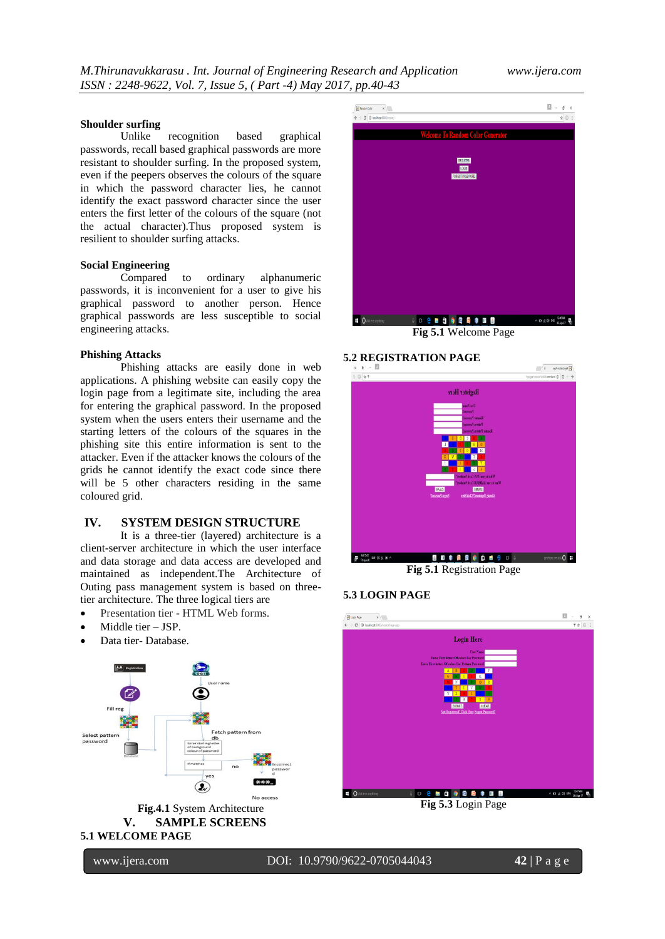$x - y$  of country of  $\overline{N}$ 

#### **Shoulder surfing**

Unlike recognition based graphical passwords, recall based graphical passwords are more resistant to shoulder surfing. In the proposed system, even if the peepers observes the colours of the square in which the password character lies, he cannot identify the exact password character since the user enters the first letter of the colours of the square (not the actual character).Thus proposed system is resilient to shoulder surfing attacks.

#### **Social Engineering**

Compared to ordinary alphanumeric passwords, it is inconvenient for a user to give his graphical password to another person. Hence graphical passwords are less susceptible to social engineering attacks.

#### **Phishing Attacks**

Phishing attacks are easily done in web applications. A phishing website can easily copy the login page from a legitimate site, including the area for entering the graphical password. In the proposed system when the users enters their username and the starting letters of the colours of the squares in the phishing site this entire information is sent to the attacker. Even if the attacker knows the colours of the grids he cannot identify the exact code since there will be 5 other characters residing in the same coloured grid.

#### **IV. SYSTEM DESIGN STRUCTURE**

It is a three-tier (layered) architecture is a client-server architecture in which the user interface and data storage and data access are developed and maintained as independent.The Architecture of Outing pass management system is based on threetier architecture. The three logical tiers are

- Presentation tier HTML Web forms.
- Middle tier JSP.
- Data tier- Database.







**Fig 5.1** Welcome Page

#### **5.2 REGISTRATION PAGE**



**Fig 5.1** Registration Page

### **5.3 LOGIN PAGE**



**Fig 5.3** Login Page